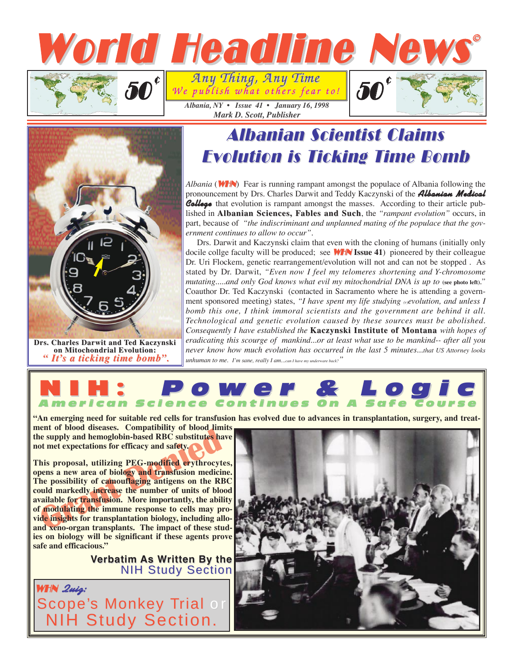



**Drs. Charles Darwit and Ted Kaczynski on Mitoc on Mitochondrial Evolution: olution:** *" It's a ticking time bomb".* 

## **Albanian Scientist Claims** Evolution is Ticking Time Bomb Evolution is Ticking Time Bomb

*Albania* (**WHN**) Fear is running rampant amongst the populace of Albania following the pronouncement by Drs. Charles Darwit and Teddy Kaczynski of the **Albanian Medical** College that evolution is rampant amongst the masses. According to their article published in **Albanian Sciences, Fables and Such**, the "rampant evolution" occurs, in part, because of *"the indiscriminant and unplanned mating of the populace that the government continues to allow to occur"*.

Drs. Darwit and Kaczynski claim that even with the cloning of humans (initially only docile collge faculty will be produced; see WHN **Issue 41**) pioneered by their colleague Dr. Uri Flockem, genetic rearrangement/evolution will not and can not be stopped . As stated by Dr. Darwit, *"Even now I feel my telomeres shortening and Y-chromosome mutating.....and only God knows what evil my mitochondrial DNA is up to (see photo left)."* Coauthor Dr. Ted Kaczynski (contacted in Sacramento where he is attending a government sponsored meeting) states, *"I have spent my life studying (r)evolution, and unless I bomb this one, I think immoral scientists and the government are behind it all. Technological and genetic evolution caused by these sources must be abolished. Consequently I have established the Kaczynski Institute of Montana with hopes of eradicating this scourge of mankind...or at least what use to be mankind-- after all you never know how much evolution has occurred in the last 5 minutes...that US Attorney looks unhuman to me. I'm sane, really I am...can I have my underware back?"*

## NIH: Power & Logic Power & Logic American Science Continues On A Safe Course Science Continues On A Safe Course

**"An emerging need for suitable red cells for transfusion has evolved due to advances in transplantation, surgery, and treat-**

**ment of blood diseases. Compatibility of blood limits the supply and hemoglobin-based RBC substitutes have not met expectations for efficacy and safety.**

The supply and hemoglobin-based RBC substitutes had the supply and hemoglobin-based RBC substitutes had the expectations for efficacy and safety.<br>
This proposal, utilizing PEG-modified erythrocyteness a new area of biology **This proposal, utilizing PEG-modified erythrocytes, opens a new area of biology and transfusion medicine. The possibility of camouflaging antigens on the RBC could markedly increase the number of units of blood available for transfusion. More importantly, the ability of modulating the immune response to cells may provide insights for transplantation biology, including alloand xeno-organ transplants. The impact of these studies on biology will be significant if these agents prove safe and efficacious."**

> **Verbatim As Written By the NIH Study Section**

WHN **Quiz:** cope's Monkey Trial or H Study Section.